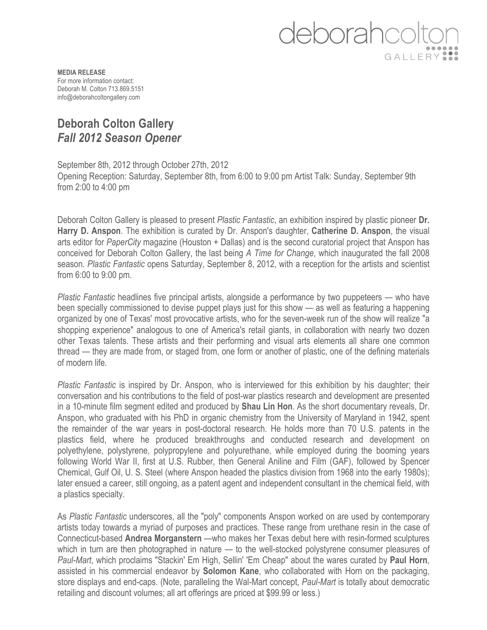## deborahcc GALLERY

**MEDIA RELEASE** For more information contact: Deborah M. Colton 713.869.5151 info@deborahcoltongallery.com

## **Deborah Colton Gallery** *Fall 2012 Season Opener*

September 8th, 2012 through October 27th, 2012 Opening Reception: Saturday, September 8th, from 6:00 to 9:00 pm Artist Talk: Sunday, September 9th from 2:00 to 4:00 pm

Deborah Colton Gallery is pleased to present *Plastic Fantastic*, an exhibition inspired by plastic pioneer **Dr. Harry D. Anspon**. The exhibition is curated by Dr. Anspon's daughter, **Catherine D. Anspon**, the visual arts editor for *PaperCity* magazine (Houston + Dallas) and is the second curatorial project that Anspon has conceived for Deborah Colton Gallery, the last being *A Time for Change*, which inaugurated the fall 2008 season. *Plastic Fantastic* opens Saturday, September 8, 2012, with a reception for the artists and scientist from 6:00 to 9:00 pm.

*Plastic Fantastic* headlines five principal artists, alongside a performance by two puppeteers — who have been specially commissioned to devise puppet plays just for this show — as well as featuring a happening organized by one of Texas' most provocative artists, who for the seven-week run of the show will realize "a shopping experience" analogous to one of America's retail giants, in collaboration with nearly two dozen other Texas talents. These artists and their performing and visual arts elements all share one common thread — they are made from, or staged from, one form or another of plastic, one of the defining materials of modern life.

*Plastic Fantastic* is inspired by Dr. Anspon, who is interviewed for this exhibition by his daughter; their conversation and his contributions to the field of post-war plastics research and development are presented in a 10-minute film segment edited and produced by **Shau Lin Hon**. As the short documentary reveals, Dr. Anspon, who graduated with his PhD in organic chemistry from the University of Maryland in 1942, spent the remainder of the war years in post-doctoral research. He holds more than 70 U.S. patents in the plastics field, where he produced breakthroughs and conducted research and development on polyethylene, polystyrene, polypropylene and polyurethane, while employed during the booming years following World War II, first at U.S. Rubber, then General Aniline and Film (GAF), followed by Spencer Chemical, Gulf Oil, U. S. Steel (where Anspon headed the plastics division from 1968 into the early 1980s); later ensued a career, still ongoing, as a patent agent and independent consultant in the chemical field, with a plastics specialty.

As *Plastic Fantastic* underscores, all the "poly" components Anspon worked on are used by contemporary artists today towards a myriad of purposes and practices. These range from urethane resin in the case of Connecticut-based **Andrea Morganstern** —who makes her Texas debut here with resin-formed sculptures which in turn are then photographed in nature — to the well-stocked polystyrene consumer pleasures of *Paul-Mart*, which proclaims "Stackin' Em High, Sellin' 'Em Cheap" about the wares curated by **Paul Horn**, assisted in his commercial endeavor by **Solomon Kane**, who collaborated with Horn on the packaging, store displays and end-caps. (Note, paralleling the Wal-Mart concept, *Paul-Mart* is totally about democratic retailing and discount volumes; all art offerings are priced at \$99.99 or less.)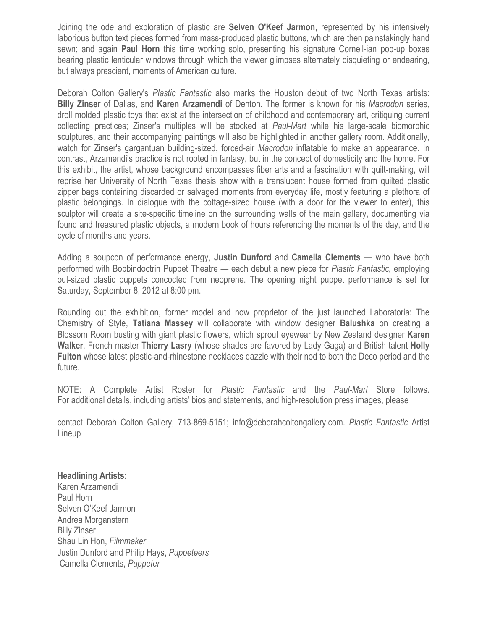Joining the ode and exploration of plastic are **Selven O'Keef Jarmon**, represented by his intensively laborious button text pieces formed from mass-produced plastic buttons, which are then painstakingly hand sewn; and again **Paul Horn** this time working solo, presenting his signature Cornell-ian pop-up boxes bearing plastic lenticular windows through which the viewer glimpses alternately disquieting or endearing, but always prescient, moments of American culture.

Deborah Colton Gallery's *Plastic Fantastic* also marks the Houston debut of two North Texas artists: **Billy Zinser** of Dallas, and **Karen Arzamendi** of Denton. The former is known for his *Macrodon* series, droll molded plastic toys that exist at the intersection of childhood and contemporary art, critiquing current collecting practices; Zinser's multiples will be stocked at *Paul-Mart* while his large-scale biomorphic sculptures, and their accompanying paintings will also be highlighted in another gallery room. Additionally, watch for Zinser's gargantuan building-sized, forced-air *Macrodon* inflatable to make an appearance. In contrast, Arzamendi's practice is not rooted in fantasy, but in the concept of domesticity and the home. For this exhibit, the artist, whose background encompasses fiber arts and a fascination with quilt-making, will reprise her University of North Texas thesis show with a translucent house formed from quilted plastic zipper bags containing discarded or salvaged moments from everyday life, mostly featuring a plethora of plastic belongings. In dialogue with the cottage-sized house (with a door for the viewer to enter), this sculptor will create a site-specific timeline on the surrounding walls of the main gallery, documenting via found and treasured plastic objects, a modern book of hours referencing the moments of the day, and the cycle of months and years.

Adding a soupcon of performance energy, **Justin Dunford** and **Camella Clements** — who have both performed with Bobbindoctrin Puppet Theatre — each debut a new piece for *Plastic Fantastic,* employing out-sized plastic puppets concocted from neoprene. The opening night puppet performance is set for Saturday, September 8, 2012 at 8:00 pm.

Rounding out the exhibition, former model and now proprietor of the just launched Laboratoria: The Chemistry of Style, **Tatiana Massey** will collaborate with window designer **Balushka** on creating a Blossom Room busting with giant plastic flowers, which sprout eyewear by New Zealand designer **Karen Walker**, French master **Thierry Lasry** (whose shades are favored by Lady Gaga) and British talent **Holly Fulton** whose latest plastic-and-rhinestone necklaces dazzle with their nod to both the Deco period and the future.

NOTE: A Complete Artist Roster for *Plastic Fantastic* and the *Paul-Mart* Store follows. For additional details, including artists' bios and statements, and high-resolution press images, please

contact Deborah Colton Gallery, 713-869-5151; info@deborahcoltongallery.com. *Plastic Fantastic* Artist Lineup

**Headlining Artists:**  Karen Arzamendi

Paul Horn Selven O'Keef Jarmon Andrea Morganstern Billy Zinser Shau Lin Hon, *Filmmaker* Justin Dunford and Philip Hays, *Puppeteers* Camella Clements, *Puppeter*